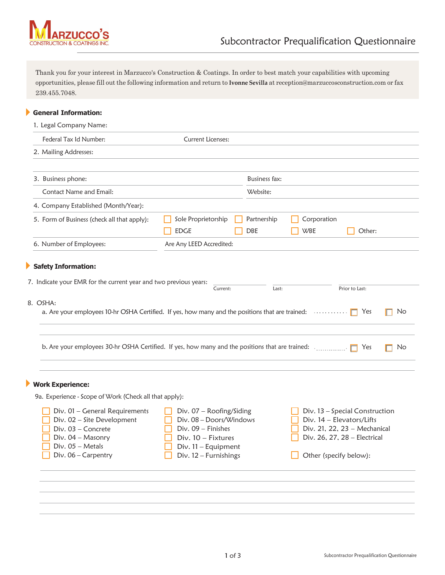

Thank you for your interest in Marzucco's Construction & Coatings. In order to best match your capabilities with upcoming opportunities, please fill out the following information and return to **Ivonne Sevilla** at [reception@marzuccosconstruction.com](mailto:reception@marzuccosconstruction.com) or fax 239.455.7048.

## **General Information:**

1. Legal Company Name:

| 2. Mailing Addresses:<br>3. Business phone:<br><b>Contact Name and Email:</b><br>4. Company Established (Month/Year):<br>5. Form of Business (check all that apply):<br>6. Number of Employees:<br>Safety Information:<br>7. Indicate your EMR for the current year and two previous years:<br>a. Are your employees 10-hr OSHA Certified. If yes, how many and the positions that are trained: $\Box$ | Sole Proprietorship<br><b>EDGE</b><br>Are Any LEED Accredited:<br>Current:                                         | <b>Business fax:</b><br>Website:<br>Partnership<br><b>DBE</b>                | Corporation<br><b>WBE</b><br>Last:                                                                                          | Other:<br>Prior to Last:<br>Yes | No                                                                                                                                                    |
|--------------------------------------------------------------------------------------------------------------------------------------------------------------------------------------------------------------------------------------------------------------------------------------------------------------------------------------------------------------------------------------------------------|--------------------------------------------------------------------------------------------------------------------|------------------------------------------------------------------------------|-----------------------------------------------------------------------------------------------------------------------------|---------------------------------|-------------------------------------------------------------------------------------------------------------------------------------------------------|
|                                                                                                                                                                                                                                                                                                                                                                                                        |                                                                                                                    |                                                                              |                                                                                                                             |                                 |                                                                                                                                                       |
|                                                                                                                                                                                                                                                                                                                                                                                                        |                                                                                                                    |                                                                              |                                                                                                                             |                                 |                                                                                                                                                       |
|                                                                                                                                                                                                                                                                                                                                                                                                        |                                                                                                                    |                                                                              |                                                                                                                             |                                 |                                                                                                                                                       |
|                                                                                                                                                                                                                                                                                                                                                                                                        |                                                                                                                    |                                                                              |                                                                                                                             |                                 |                                                                                                                                                       |
|                                                                                                                                                                                                                                                                                                                                                                                                        |                                                                                                                    |                                                                              |                                                                                                                             |                                 |                                                                                                                                                       |
|                                                                                                                                                                                                                                                                                                                                                                                                        |                                                                                                                    |                                                                              |                                                                                                                             |                                 |                                                                                                                                                       |
|                                                                                                                                                                                                                                                                                                                                                                                                        |                                                                                                                    |                                                                              |                                                                                                                             |                                 |                                                                                                                                                       |
|                                                                                                                                                                                                                                                                                                                                                                                                        |                                                                                                                    |                                                                              |                                                                                                                             |                                 |                                                                                                                                                       |
|                                                                                                                                                                                                                                                                                                                                                                                                        |                                                                                                                    |                                                                              |                                                                                                                             |                                 |                                                                                                                                                       |
|                                                                                                                                                                                                                                                                                                                                                                                                        |                                                                                                                    |                                                                              |                                                                                                                             |                                 |                                                                                                                                                       |
| b. Are your employees 30-hr OSHA Certified. If yes, how many and the positions that are trained: $\Box$                                                                                                                                                                                                                                                                                                |                                                                                                                    |                                                                              |                                                                                                                             | Yes                             | No                                                                                                                                                    |
| <b>Work Experience:</b>                                                                                                                                                                                                                                                                                                                                                                                |                                                                                                                    |                                                                              |                                                                                                                             |                                 |                                                                                                                                                       |
|                                                                                                                                                                                                                                                                                                                                                                                                        |                                                                                                                    |                                                                              |                                                                                                                             |                                 |                                                                                                                                                       |
| Div. 01 - General Requirements                                                                                                                                                                                                                                                                                                                                                                         |                                                                                                                    |                                                                              |                                                                                                                             |                                 |                                                                                                                                                       |
|                                                                                                                                                                                                                                                                                                                                                                                                        |                                                                                                                    |                                                                              |                                                                                                                             |                                 |                                                                                                                                                       |
|                                                                                                                                                                                                                                                                                                                                                                                                        |                                                                                                                    |                                                                              |                                                                                                                             |                                 |                                                                                                                                                       |
|                                                                                                                                                                                                                                                                                                                                                                                                        |                                                                                                                    |                                                                              |                                                                                                                             |                                 |                                                                                                                                                       |
|                                                                                                                                                                                                                                                                                                                                                                                                        |                                                                                                                    |                                                                              |                                                                                                                             |                                 |                                                                                                                                                       |
|                                                                                                                                                                                                                                                                                                                                                                                                        | Div. 02 - Site Development<br>Div. 03 - Concrete<br>Div. 04 - Masonry<br>$Div. 05 - Metals$<br>Div. 06 - Carpentry | 9a. Experience - Scope of Work (Check all that apply):<br>Div. 09 - Finishes | Div. 07 - Roofing/Siding<br>Div. 08 - Doors/Windows<br>$Div. 10 - Fixtures$<br>Div. 11 - Equipment<br>Div. 12 - Furnishings |                                 | Div. 13 - Special Construction<br>Div. 14 - Elevators/Lifts<br>Div. 21, 22, 23 - Mechanical<br>Div. 26, 27, 28 - Electrical<br>Other (specify below): |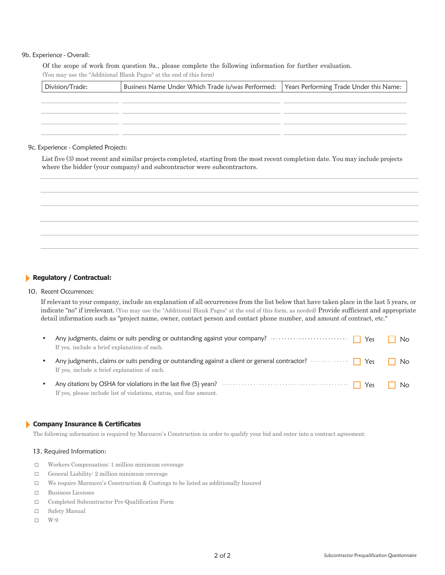### 9b. Experience - Overall:

Of the scope of work from question 9a., please complete the following information for further evaluation. (You may use the "Additional Blank Pages" at the end of this form)

| Division/Trade: | Business Name Under Which Trade is/was Performed:   Years Performing Trade Under this Name: |  |
|-----------------|---------------------------------------------------------------------------------------------|--|
|                 |                                                                                             |  |
|                 |                                                                                             |  |
|                 |                                                                                             |  |
|                 |                                                                                             |  |

#### 9c. Experience - Completed Projects:

List five (3) most recent and similar projects completed, starting from the most recent completion date. You may include projects where the bidder (your company) and subcontractor were subcontractors.

### **Regulatory / Contractual:**

#### 10. Recent Occurrences:

If relevant to your company, include an explanation of all occurrences from the list below that have taken place in the last 5 years, or indicate "no" if irrelevant. (You may use the "Additional Blank Pages" at the end of this form, as needed) Provide sufficient and appropriate detail information such as "project name, owner, contact person and contact phone number, and amount of contract, etc."

| $\bullet$ | If yes, include a brief explanation of each.                                                                                                           | No  |
|-----------|--------------------------------------------------------------------------------------------------------------------------------------------------------|-----|
| $\bullet$ | Any judgments, claims or suits pending or outstanding against a client or general contractor? $\cdots$<br>If yes, include a brief explanation of each. |     |
| $\bullet$ | If yes, please include list of violations, status, and fine amount.                                                                                    | No. |

#### **Company Insurance & Certificates**

The following information is required by Marzucco's Construction in order to qualify your bid and enter into a contract agreement.

#### 13. Required Information:

- □ Workers Compensation: 1 million minimum coverage
- □ General Liability: 2 million minimum coverage
- □ We require Marzucco's Construction & Coatings to be listed as additionally Insured
- □ Business Licenses
- □ Completed Subcontractor Pre-Qualification Form
- □ Safety Manual
- □ W-9